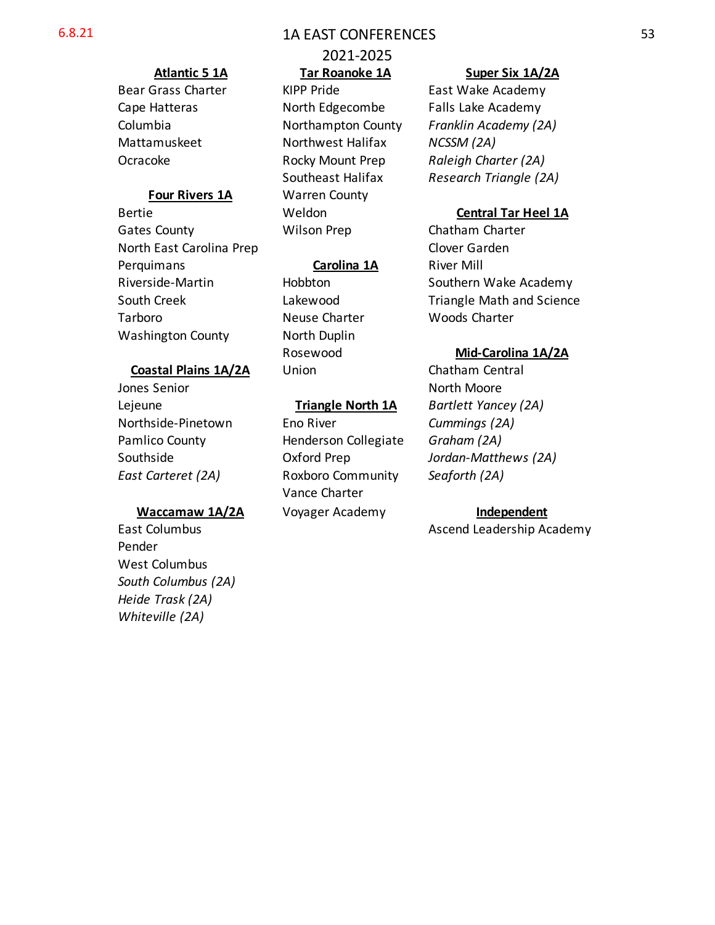### 6.8.21 1A EAST CONFERENCES

Gates County **Chatham Charter** Wilson Prep Chatham Charter North East Carolina Prep Clover Garden Perquimans **Carolina 1A** River Mill Tarboro **Neuse Charter** Woods Charter Washington County **North Duplin** 

### **Coastal Plains 1A/2A** Union Chatham Central

Jones Senior North Moore Lejeune **Triangle North 1A** *Bartlett Yancey (2A)*

Pender West Columbus *South Columbus (2A) Heide Trask (2A) Whiteville (2A)*

# 2021-2025

Bear Grass Charter KIPP Pride East Wake Academy Cape Hatteras **North Edgecombe** Falls Lake Academy Mattamuskeet **Northwest Halifax** *NCSSM (2A)* Ocracoke Rocky Mount Prep *Raleigh Charter (2A)* **Four Rivers 1A** Warren County Bertie Weldon **Central Tar Heel 1A**

Northside-Pinetown Eno River *Cummings (2A)* Pamlico County Henderson Collegiate *Graham (2A) East Carteret (2A)* Roxboro Community *Seaforth (2A)* Vance Charter **Waccamaw 1A/2A** Voyager Academy **Independent**

### **Atlantic 5 1A Tar Roanoke 1A Super Six 1A/2A**

Columbia Northampton County *Franklin Academy (2A)* Southeast Halifax *Research Triangle (2A)*

Riverside-Martin **Hobbton** Hobbton Southern Wake Academy South Creek **Lakewood** Triangle Math and Science

### Rosewood **Mid-Carolina 1A/2A**

Southside Oxford Prep *Jordan-Matthews (2A)*

East Columbus **Ascend Leadership Academy**